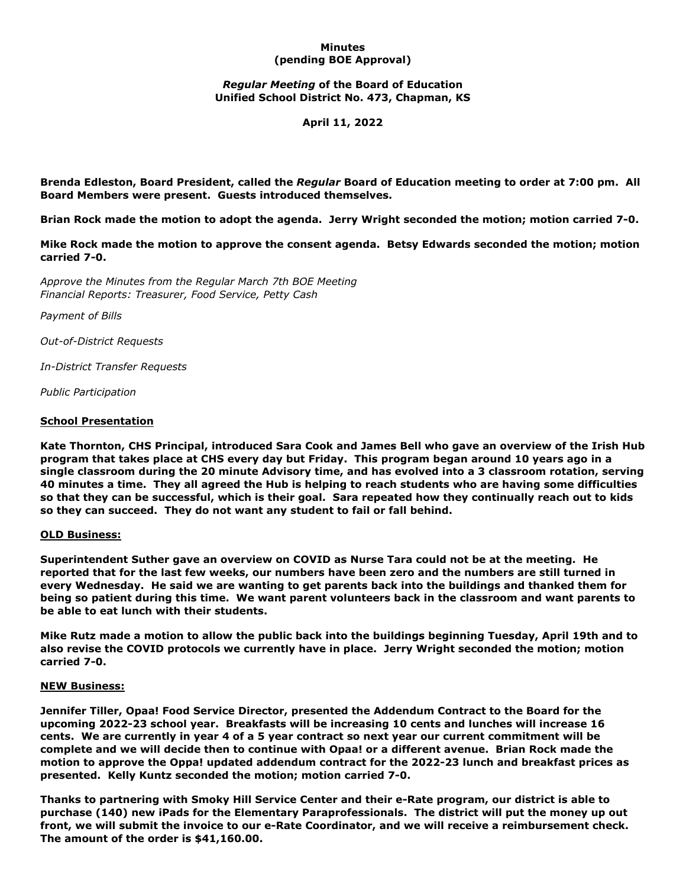## **Minutes (pending BOE Approval)**

# *Regular Meeting* **of the Board of Education Unified School District No. 473, Chapman, KS**

**April 11, 2022**

**Brenda Edleston, Board President, called the** *Regular* **Board of Education meeting to order at 7:00 pm. All Board Members were present. Guests introduced themselves.**

**Brian Rock made the motion to adopt the agenda. Jerry Wright seconded the motion; motion carried 7-0.**

**Mike Rock made the motion to approve the consent agenda. Betsy Edwards seconded the motion; motion carried 7-0.**

*Approve the Minutes from the Regular March 7th BOE Meeting Financial Reports: Treasurer, Food Service, Petty Cash*

*Payment of Bills*

*Out-of-District Requests*

*In-District Transfer Requests*

*Public Participation*

### **School Presentation**

**Kate Thornton, CHS Principal, introduced Sara Cook and James Bell who gave an overview of the Irish Hub program that takes place at CHS every day but Friday. This program began around 10 years ago in a single classroom during the 20 minute Advisory time, and has evolved into a 3 classroom rotation, serving 40 minutes a time. They all agreed the Hub is helping to reach students who are having some difficulties so that they can be successful, which is their goal. Sara repeated how they continually reach out to kids so they can succeed. They do not want any student to fail or fall behind.**

### **OLD Business:**

**Superintendent Suther gave an overview on COVID as Nurse Tara could not be at the meeting. He reported that for the last few weeks, our numbers have been zero and the numbers are still turned in every Wednesday. He said we are wanting to get parents back into the buildings and thanked them for being so patient during this time. We want parent volunteers back in the classroom and want parents to be able to eat lunch with their students.**

**Mike Rutz made a motion to allow the public back into the buildings beginning Tuesday, April 19th and to also revise the COVID protocols we currently have in place. Jerry Wright seconded the motion; motion carried 7-0.**

### **NEW Business:**

**Jennifer Tiller, Opaa! Food Service Director, presented the Addendum Contract to the Board for the upcoming 2022-23 school year. Breakfasts will be increasing 10 cents and lunches will increase 16 cents. We are currently in year 4 of a 5 year contract so next year our current commitment will be complete and we will decide then to continue with Opaa! or a different avenue. Brian Rock made the motion to approve the Oppa! updated addendum contract for the 2022-23 lunch and breakfast prices as presented. Kelly Kuntz seconded the motion; motion carried 7-0.**

**Thanks to partnering with Smoky Hill Service Center and their e-Rate program, our district is able to purchase (140) new iPads for the Elementary Paraprofessionals. The district will put the money up out front, we will submit the invoice to our e-Rate Coordinator, and we will receive a reimbursement check. The amount of the order is \$41,160.00.**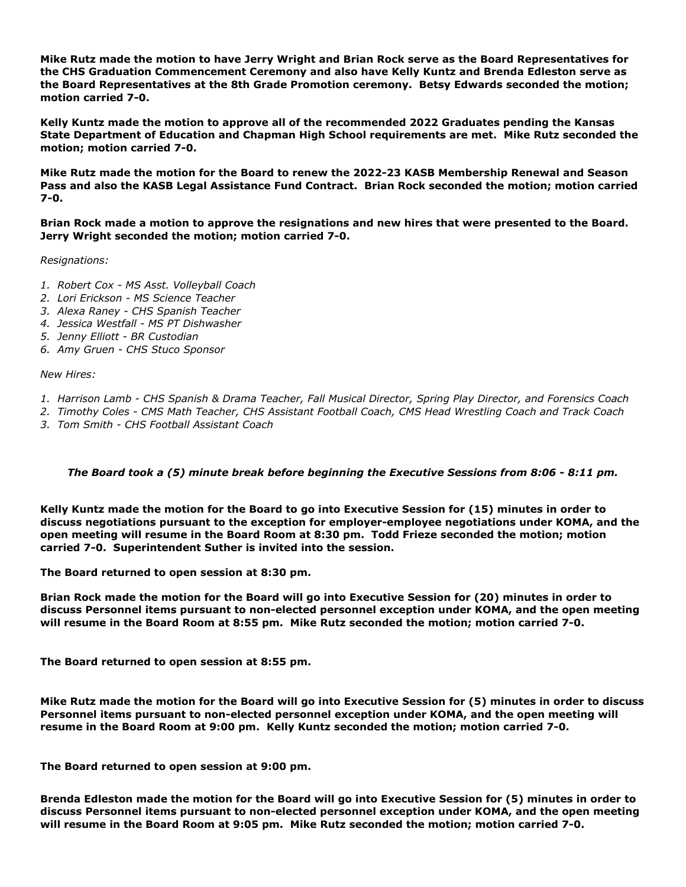**Mike Rutz made the motion to have Jerry Wright and Brian Rock serve as the Board Representatives for the CHS Graduation Commencement Ceremony and also have Kelly Kuntz and Brenda Edleston serve as the Board Representatives at the 8th Grade Promotion ceremony. Betsy Edwards seconded the motion; motion carried 7-0.**

**Kelly Kuntz made the motion to approve all of the recommended 2022 Graduates pending the Kansas State Department of Education and Chapman High School requirements are met. Mike Rutz seconded the motion; motion carried 7-0.**

**Mike Rutz made the motion for the Board to renew the 2022-23 KASB Membership Renewal and Season Pass and also the KASB Legal Assistance Fund Contract. Brian Rock seconded the motion; motion carried 7-0.**

**Brian Rock made a motion to approve the resignations and new hires that were presented to the Board. Jerry Wright seconded the motion; motion carried 7-0.**

*Resignations:*

- *1. Robert Cox MS Asst. Volleyball Coach*
- *2. Lori Erickson MS Science Teacher*
- *3. Alexa Raney CHS Spanish Teacher*
- *4. Jessica Westfall MS PT Dishwasher*
- *5. Jenny Elliott BR Custodian*
- *6. Amy Gruen CHS Stuco Sponsor*

*New Hires:*

- *1. Harrison Lamb CHS Spanish & Drama Teacher, Fall Musical Director, Spring Play Director, and Forensics Coach*
- *2. Timothy Coles CMS Math Teacher, CHS Assistant Football Coach, CMS Head Wrestling Coach and Track Coach*
- *3. Tom Smith CHS Football Assistant Coach*

### *The Board took a (5) minute break before beginning the Executive Sessions from 8:06 - 8:11 pm.*

**Kelly Kuntz made the motion for the Board to go into Executive Session for (15) minutes in order to discuss negotiations pursuant to the exception for employer-employee negotiations under KOMA, and the open meeting will resume in the Board Room at 8:30 pm. Todd Frieze seconded the motion; motion carried 7-0. Superintendent Suther is invited into the session.**

**The Board returned to open session at 8:30 pm.**

**Brian Rock made the motion for the Board will go into Executive Session for (20) minutes in order to discuss Personnel items pursuant to non-elected personnel exception under KOMA, and the open meeting will resume in the Board Room at 8:55 pm. Mike Rutz seconded the motion; motion carried 7-0.**

**The Board returned to open session at 8:55 pm.**

**Mike Rutz made the motion for the Board will go into Executive Session for (5) minutes in order to discuss Personnel items pursuant to non-elected personnel exception under KOMA, and the open meeting will resume in the Board Room at 9:00 pm. Kelly Kuntz seconded the motion; motion carried 7-0.**

**The Board returned to open session at 9:00 pm.**

**Brenda Edleston made the motion for the Board will go into Executive Session for (5) minutes in order to discuss Personnel items pursuant to non-elected personnel exception under KOMA, and the open meeting will resume in the Board Room at 9:05 pm. Mike Rutz seconded the motion; motion carried 7-0.**